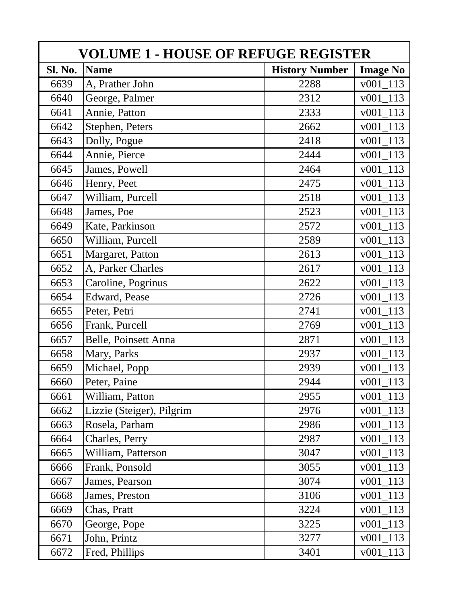| <b>VOLUME 1 - HOUSE OF REFUGE REGISTER</b> |                           |                       |                       |  |
|--------------------------------------------|---------------------------|-----------------------|-----------------------|--|
| Sl. No.                                    | <b>Name</b>               | <b>History Number</b> | <b>Image No</b>       |  |
| 6639                                       | A, Prather John           | 2288                  | v001 113              |  |
| 6640                                       | George, Palmer            | 2312                  | $\overline{v001}$ 113 |  |
| 6641                                       | Annie, Patton             | 2333                  | 113<br>v001           |  |
| 6642                                       | Stephen, Peters           | 2662                  | 113<br>v001           |  |
| 6643                                       | Dolly, Pogue              | 2418                  | 113<br>v001           |  |
| 6644                                       | Annie, Pierce             | 2444                  | v001<br>113           |  |
| 6645                                       | James, Powell             | 2464                  | v001<br>113           |  |
| 6646                                       | Henry, Peet               | 2475                  | v001 113              |  |
| 6647                                       | William, Purcell          | 2518                  | v001 113              |  |
| 6648                                       | James, Poe                | 2523                  | v001 113              |  |
| 6649                                       | Kate, Parkinson           | 2572                  | v001 113              |  |
| 6650                                       | William, Purcell          | 2589                  | v001 113              |  |
| 6651                                       | Margaret, Patton          | 2613                  | v001 113              |  |
| 6652                                       | A, Parker Charles         | 2617                  | $v001_113$            |  |
| 6653                                       | Caroline, Pogrinus        | 2622                  | v001 113              |  |
| 6654                                       | Edward, Pease             | 2726                  | v001 113              |  |
| 6655                                       | Peter, Petri              | 2741                  | v001 113              |  |
| 6656                                       | Frank, Purcell            | 2769                  | v001 113              |  |
| 6657                                       | Belle, Poinsett Anna      | 2871                  | $v001_113$            |  |
| 6658                                       | Mary, Parks               | 2937                  | $v001_113$            |  |
| 6659                                       | Michael, Popp             | 2939                  | v001 113              |  |
| 6660                                       | Peter, Paine              | 2944                  | 113<br>v001           |  |
| 6661                                       | William, Patton           | 2955                  | 113<br>v001           |  |
| 6662                                       | Lizzie (Steiger), Pilgrim | 2976                  | 113<br>v001           |  |
| 6663                                       | Rosela, Parham            | 2986                  | 113<br>v001           |  |
| 6664                                       | Charles, Perry            | 2987                  | 113<br>v001           |  |
| 6665                                       | William, Patterson        | 3047                  | $v001_113$            |  |
| 6666                                       | Frank, Ponsold            | 3055                  | v001 113              |  |
| 6667                                       | James, Pearson            | 3074                  | $v001_113$            |  |
| 6668                                       | James, Preston            | 3106                  | $v001_113$            |  |
| 6669                                       | Chas, Pratt               | 3224                  | $v001_113$            |  |
| 6670                                       | George, Pope              | 3225                  | v001 113              |  |
| 6671                                       | John, Printz              | 3277                  | $v001_113$            |  |
| 6672                                       | Fred, Phillips            | 3401                  | v001 113              |  |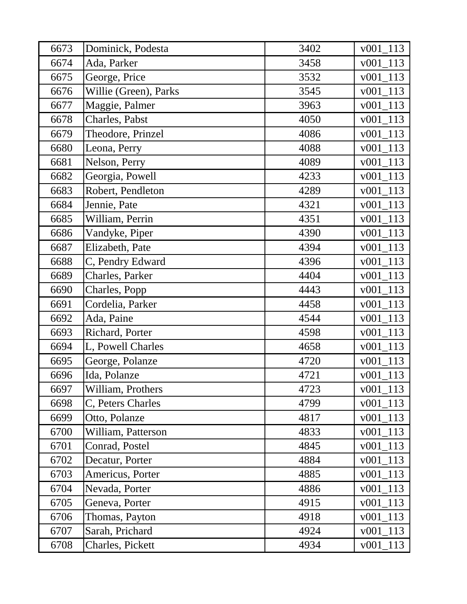| 6673 | Dominick, Podesta     | 3402 | $v001_113$  |
|------|-----------------------|------|-------------|
| 6674 | Ada, Parker           | 3458 | v001<br>113 |
| 6675 | George, Price         | 3532 | 113<br>v001 |
| 6676 | Willie (Green), Parks | 3545 | $v001_113$  |
| 6677 | Maggie, Palmer        | 3963 | v001 113    |
| 6678 | Charles, Pabst        | 4050 | $v001_113$  |
| 6679 | Theodore, Prinzel     | 4086 | $v001_113$  |
| 6680 | Leona, Perry          | 4088 | $v001_113$  |
| 6681 | Nelson, Perry         | 4089 | $v001_113$  |
| 6682 | Georgia, Powell       | 4233 | $v001_113$  |
| 6683 | Robert, Pendleton     | 4289 | $v001_113$  |
| 6684 | Jennie, Pate          | 4321 | $v001_113$  |
| 6685 | William, Perrin       | 4351 | $v001_113$  |
| 6686 | Vandyke, Piper        | 4390 | 113<br>v001 |
| 6687 | Elizabeth, Pate       | 4394 | 113<br>v001 |
| 6688 | C, Pendry Edward      | 4396 | 113<br>v001 |
| 6689 | Charles, Parker       | 4404 | v001<br>113 |
| 6690 | Charles, Popp         | 4443 | $v001_113$  |
| 6691 | Cordelia, Parker      | 4458 | $v001_113$  |
| 6692 | Ada, Paine            | 4544 | v001 113    |
| 6693 | Richard, Porter       | 4598 | v001 113    |
| 6694 | L, Powell Charles     | 4658 | v001 113    |
| 6695 | George, Polanze       | 4720 | v001 113    |
| 6696 | Ida, Polanze          | 4721 | v001 113    |
| 6697 | William, Prothers     | 4723 | v001 113    |
| 6698 | C, Peters Charles     | 4799 | v001 113    |
| 6699 | Otto, Polanze         | 4817 | 113<br>v001 |
| 6700 | William, Patterson    | 4833 | 113<br>v001 |
| 6701 | Conrad, Postel        | 4845 | 113<br>v001 |
| 6702 | Decatur, Porter       | 4884 | 113<br>v001 |
| 6703 | Americus, Porter      | 4885 | $v001_113$  |
| 6704 | Nevada, Porter        | 4886 | v001 113    |
| 6705 | Geneva, Porter        | 4915 | $v001_113$  |
| 6706 | Thomas, Payton        | 4918 | $v001_113$  |
| 6707 | Sarah, Prichard       | 4924 | $v001_113$  |
| 6708 | Charles, Pickett      | 4934 | v001 113    |